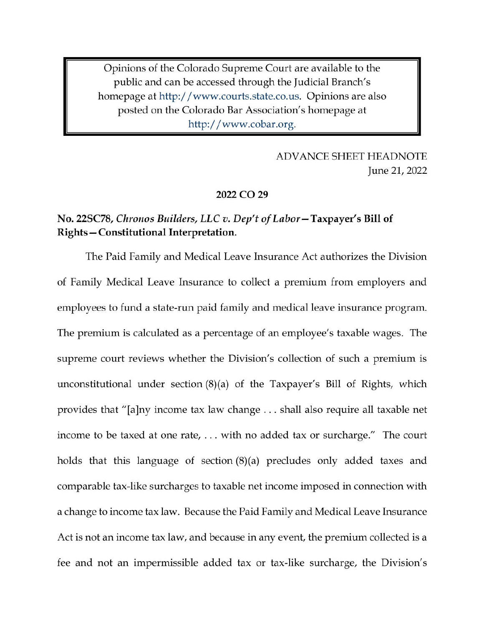Opinions of the Colorado Supreme Court are available to the public and can be accessed through the Judicial Branch's homepage at http://www.courts.state.co.us. Opinions are also posted on the Colorado Bar Association's homepage at http://www.cobar.org.

> **ADVANCE SHEET HEADNOTE** June 21, 2022

#### 2022 CO 29

# No. 22SC78, Chronos Builders, LLC v. Dep't of Labor-Taxpayer's Bill of Rights-Constitutional Interpretation.

The Paid Family and Medical Leave Insurance Act authorizes the Division of Family Medical Leave Insurance to collect a premium from employers and employees to fund a state-run paid family and medical leave insurance program. The premium is calculated as a percentage of an employee's taxable wages. The supreme court reviews whether the Division's collection of such a premium is unconstitutional under section  $(8)(a)$  of the Taxpayer's Bill of Rights, which provides that "[a]ny income tax law change ... shall also require all taxable net income to be taxed at one rate, ... with no added tax or surcharge." The court holds that this language of section  $(8)(a)$  precludes only added taxes and comparable tax-like surcharges to taxable net income imposed in connection with a change to income tax law. Because the Paid Family and Medical Leave Insurance Act is not an income tax law, and because in any event, the premium collected is a fee and not an impermissible added tax or tax-like surcharge, the Division's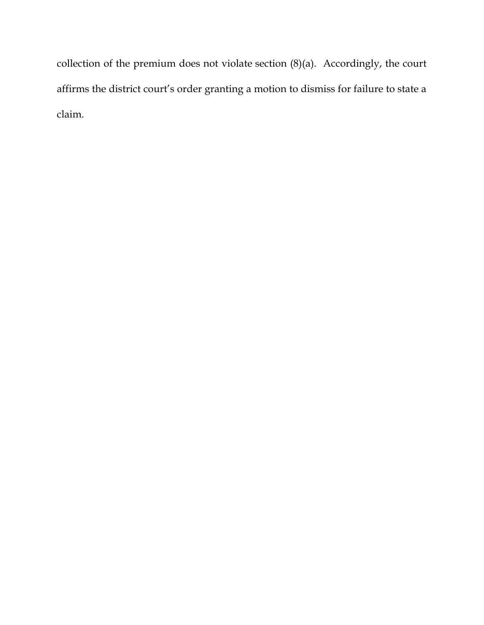collection of the premium does not violate section (8)(a). Accordingly, the court affirms the district court's order granting a motion to dismiss for failure to state a claim.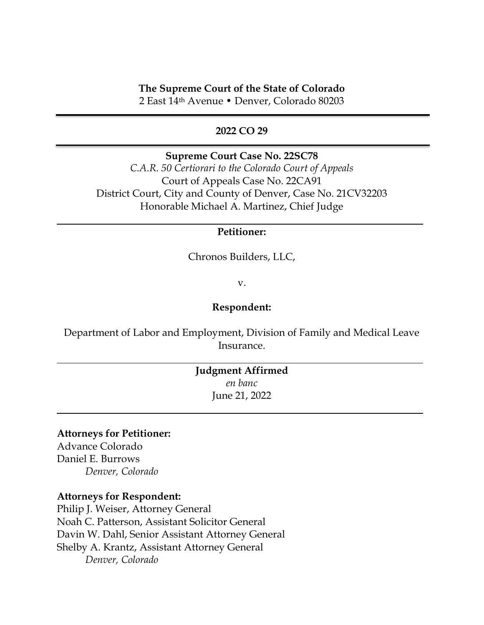### **The Supreme Court of the State of Colorado**

2 East 14th Avenue • Denver, Colorado 80203

### **2022 CO 29**

### **Supreme Court Case No. 22SC78**

*C.A.R. 50 Certiorari to the Colorado Court of Appeals* Court of Appeals Case No. 22CA91 District Court, City and County of Denver, Case No. 21CV32203 Honorable Michael A. Martinez, Chief Judge

### **Petitioner:**

Chronos Builders, LLC,

v.

#### **Respondent:**

Department of Labor and Employment, Division of Family and Medical Leave Insurance.

# **Judgment Affirmed** *en banc* June 21, 2022

#### **Attorneys for Petitioner:**

Advance Colorado Daniel E. Burrows *Denver, Colorado*

#### **Attorneys for Respondent:**

Philip J. Weiser, Attorney General Noah C. Patterson, Assistant Solicitor General Davin W. Dahl, Senior Assistant Attorney General Shelby A. Krantz, Assistant Attorney General *Denver, Colorado*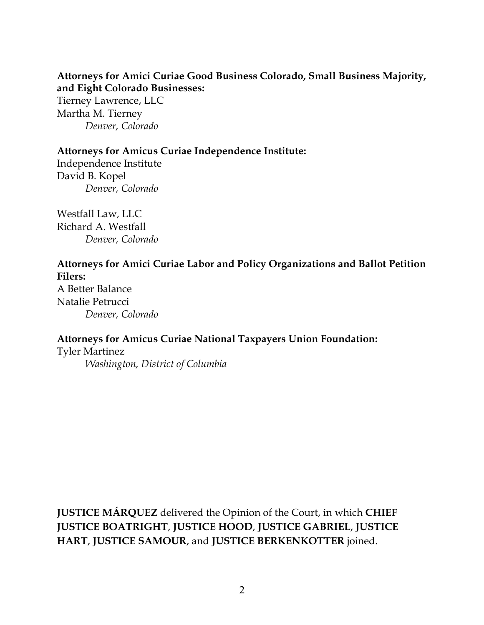# **Attorneys for Amici Curiae Good Business Colorado, Small Business Majority, and Eight Colorado Businesses:**

Tierney Lawrence, LLC Martha M. Tierney *Denver, Colorado*

## **Attorneys for Amicus Curiae Independence Institute:**

Independence Institute David B. Kopel *Denver, Colorado*

Westfall Law, LLC Richard A. Westfall *Denver, Colorado*

# **Attorneys for Amici Curiae Labor and Policy Organizations and Ballot Petition Filers:**

A Better Balance Natalie Petrucci *Denver, Colorado*

# **Attorneys for Amicus Curiae National Taxpayers Union Foundation:**

Tyler Martinez *Washington, District of Columbia*

**JUSTICE MÁRQUEZ** delivered the Opinion of the Court, in which **CHIEF JUSTICE BOATRIGHT**, **JUSTICE HOOD**, **JUSTICE GABRIEL**, **JUSTICE HART**, **JUSTICE SAMOUR**, and **JUSTICE BERKENKOTTER** joined.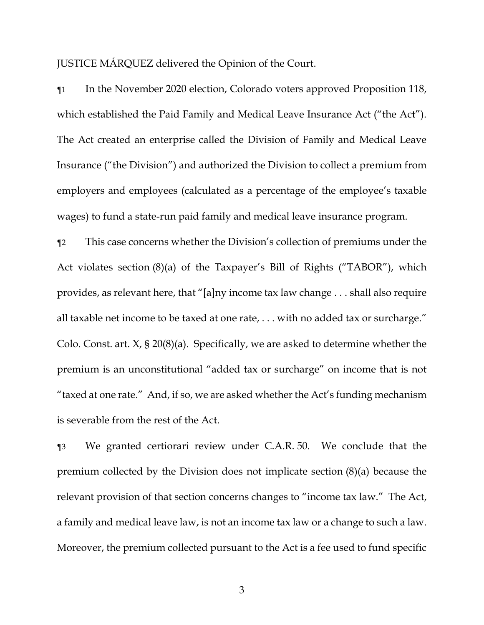JUSTICE MÁRQUEZ delivered the Opinion of the Court.

¶1 In the November 2020 election, Colorado voters approved Proposition 118, which established the Paid Family and Medical Leave Insurance Act ("the Act"). The Act created an enterprise called the Division of Family and Medical Leave Insurance ("the Division") and authorized the Division to collect a premium from employers and employees (calculated as a percentage of the employee's taxable wages) to fund a state-run paid family and medical leave insurance program.

¶2 This case concerns whether the Division's collection of premiums under the Act violates section (8)(a) of the Taxpayer's Bill of Rights ("TABOR"), which provides, as relevant here, that "[a]ny income tax law change . . . shall also require all taxable net income to be taxed at one rate, . . . with no added tax or surcharge." Colo. Const. art. X, § 20(8)(a). Specifically, we are asked to determine whether the premium is an unconstitutional "added tax or surcharge" on income that is not "taxed at one rate." And, if so, we are asked whether the Act's funding mechanism is severable from the rest of the Act.

¶3 We granted certiorari review under C.A.R. 50. We conclude that the premium collected by the Division does not implicate section (8)(a) because the relevant provision of that section concerns changes to "income tax law." The Act, a family and medical leave law, is not an income tax law or a change to such a law. Moreover, the premium collected pursuant to the Act is a fee used to fund specific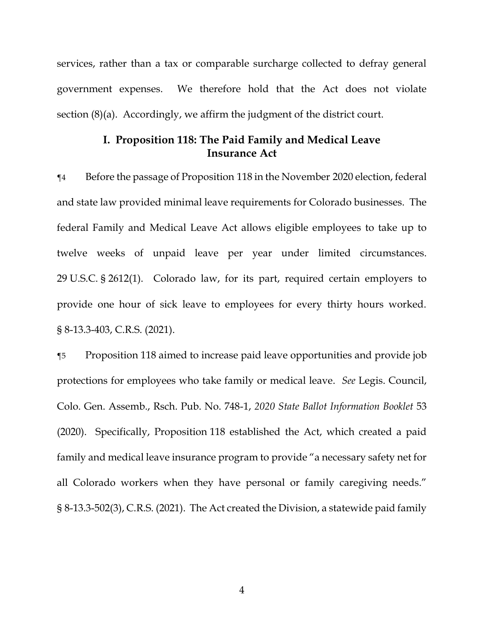services, rather than a tax or comparable surcharge collected to defray general government expenses. We therefore hold that the Act does not violate section (8)(a). Accordingly, we affirm the judgment of the district court.

## **I. Proposition 118: The Paid Family and Medical Leave Insurance Act**

¶4 Before the passage of Proposition 118 in the November 2020 election, federal and state law provided minimal leave requirements for Colorado businesses. The federal Family and Medical Leave Act allows eligible employees to take up to twelve weeks of unpaid leave per year under limited circumstances. 29 U.S.C. § 2612(1). Colorado law, for its part, required certain employers to provide one hour of sick leave to employees for every thirty hours worked. § 8-13.3-403, C.R.S. (2021).

¶5 Proposition 118 aimed to increase paid leave opportunities and provide job protections for employees who take family or medical leave. *See* Legis. Council, Colo. Gen. Assemb., Rsch. Pub. No. 748-1, *2020 State Ballot Information Booklet* 53 (2020). Specifically, Proposition 118 established the Act, which created a paid family and medical leave insurance program to provide "a necessary safety net for all Colorado workers when they have personal or family caregiving needs." § 8-13.3-502(3), C.R.S. (2021). The Act created the Division, a statewide paid family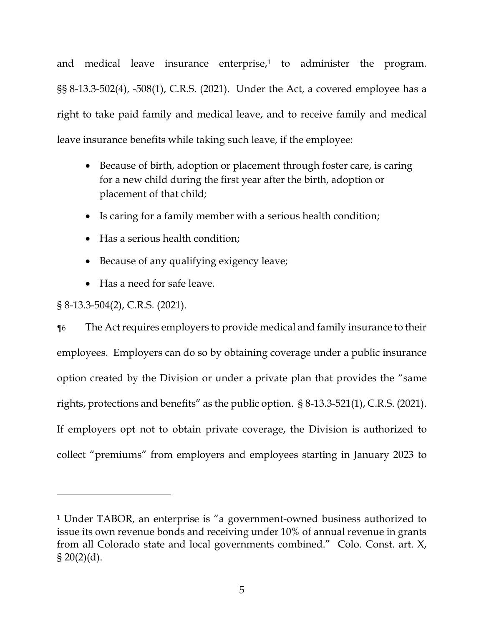and medical leave insurance enterprise,<sup>1</sup> to administer the program. §§ 8-13.3-502(4), -508(1), C.R.S. (2021). Under the Act, a covered employee has a right to take paid family and medical leave, and to receive family and medical leave insurance benefits while taking such leave, if the employee:

- Because of birth, adoption or placement through foster care, is caring for a new child during the first year after the birth, adoption or placement of that child;
- Is caring for a family member with a serious health condition;
- Has a serious health condition;
- Because of any qualifying exigency leave;
- Has a need for safe leave.

# § 8-13.3-504(2), C.R.S. (2021).

¶6 The Act requires employers to provide medical and family insurance to their employees. Employers can do so by obtaining coverage under a public insurance option created by the Division or under a private plan that provides the "same rights, protections and benefits" as the public option. § 8-13.3-521(1), C.R.S. (2021). If employers opt not to obtain private coverage, the Division is authorized to collect "premiums" from employers and employees starting in January 2023 to

<sup>1</sup> Under TABOR, an enterprise is "a government-owned business authorized to issue its own revenue bonds and receiving under 10% of annual revenue in grants from all Colorado state and local governments combined." Colo. Const. art. X,  $\S 20(2)(d)$ .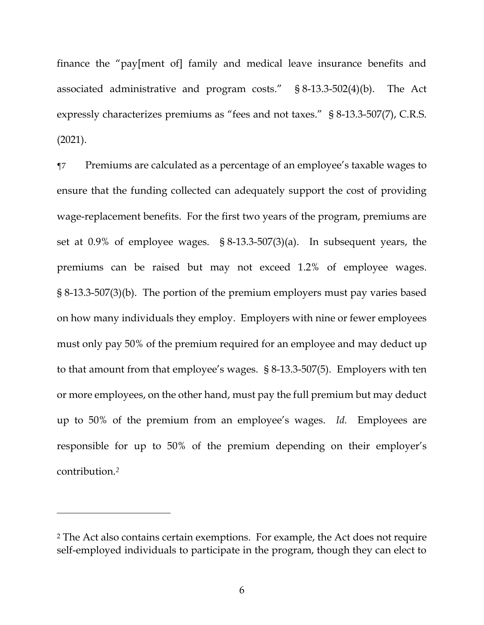finance the "pay[ment of] family and medical leave insurance benefits and associated administrative and program costs." § 8-13.3-502(4)(b). The Act expressly characterizes premiums as "fees and not taxes." § 8-13.3-507(7), C.R.S. (2021).

¶7 Premiums are calculated as a percentage of an employee's taxable wages to ensure that the funding collected can adequately support the cost of providing wage-replacement benefits. For the first two years of the program, premiums are set at 0.9% of employee wages. § 8-13.3-507(3)(a). In subsequent years, the premiums can be raised but may not exceed 1.2% of employee wages. § 8-13.3-507(3)(b). The portion of the premium employers must pay varies based on how many individuals they employ. Employers with nine or fewer employees must only pay 50% of the premium required for an employee and may deduct up to that amount from that employee's wages. § 8-13.3-507(5). Employers with ten or more employees, on the other hand, must pay the full premium but may deduct up to 50% of the premium from an employee's wages. *Id.* Employees are responsible for up to 50% of the premium depending on their employer's contribution.*<sup>2</sup>* 

<sup>2</sup> The Act also contains certain exemptions. For example, the Act does not require self-employed individuals to participate in the program, though they can elect to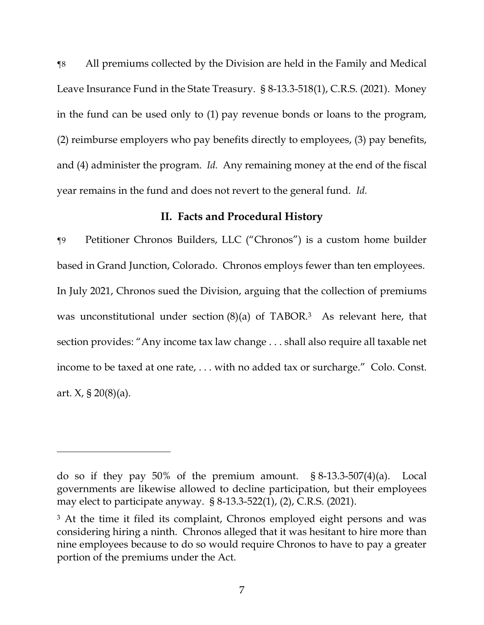¶8 All premiums collected by the Division are held in the Family and Medical Leave Insurance Fund in the State Treasury. § 8-13.3-518(1), C.R.S. (2021). Money in the fund can be used only to (1) pay revenue bonds or loans to the program, (2) reimburse employers who pay benefits directly to employees, (3) pay benefits, and (4) administer the program. *Id.* Any remaining money at the end of the fiscal year remains in the fund and does not revert to the general fund. *Id.* 

#### **II. Facts and Procedural History**

¶9 Petitioner Chronos Builders, LLC ("Chronos") is a custom home builder based in Grand Junction, Colorado. Chronos employs fewer than ten employees. In July 2021, Chronos sued the Division, arguing that the collection of premiums was unconstitutional under section  $(8)(a)$  of TABOR.<sup>3</sup> As relevant here, that section provides: "Any income tax law change . . . shall also require all taxable net income to be taxed at one rate, . . . with no added tax or surcharge." Colo. Const. art.  $X$ , § 20(8)(a).

do so if they pay 50% of the premium amount. § 8-13.3-507(4)(a). Local governments are likewise allowed to decline participation, but their employees may elect to participate anyway. § 8-13.3-522(1), (2), C.R.S. (2021).

<sup>&</sup>lt;sup>3</sup> At the time it filed its complaint, Chronos employed eight persons and was considering hiring a ninth.Chronos alleged that it was hesitant to hire more than nine employees because to do so would require Chronos to have to pay a greater portion of the premiums under the Act.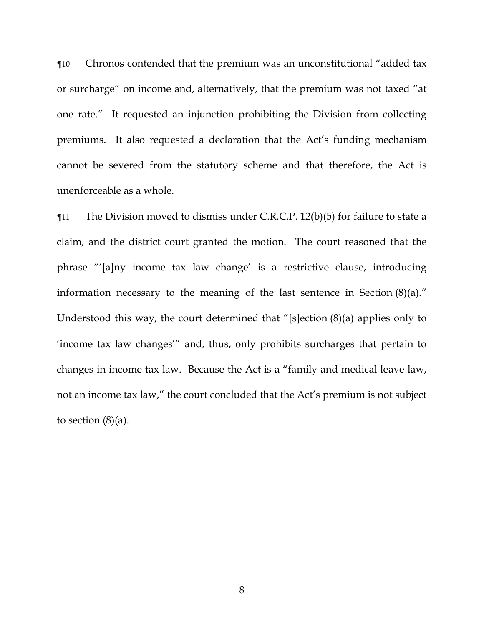¶10 Chronos contended that the premium was an unconstitutional "added tax or surcharge" on income and, alternatively, that the premium was not taxed "at one rate."It requested an injunction prohibiting the Division from collecting premiums. It also requested a declaration that the Act's funding mechanism cannot be severed from the statutory scheme and that therefore, the Act is unenforceable as a whole.

¶11 The Division moved to dismiss under C.R.C.P. 12(b)(5) for failure to state a claim, and the district court granted the motion.The court reasoned that the phrase "'[a]ny income tax law change' is a restrictive clause, introducing information necessary to the meaning of the last sentence in Section (8)(a)." Understood this way, the court determined that "[s]ection (8)(a) applies only to 'income tax law changes'" and, thus, only prohibits surcharges that pertain to changes in income tax law.Because the Act is a "family and medical leave law, not an income tax law," the court concluded that the Act's premium is not subject to section  $(8)(a)$ .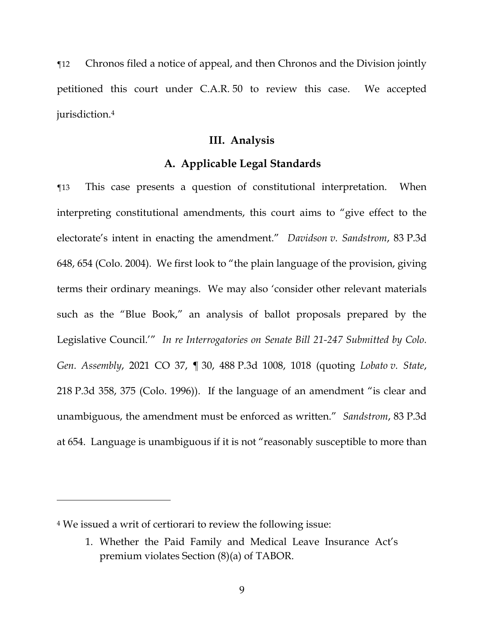¶12 Chronos filed a notice of appeal, and then Chronos and the Division jointly petitioned this court under C.A.R. 50 to review this case. We accepted jurisdiction.<sup>4</sup>

#### **III. Analysis**

### **A. Applicable Legal Standards**

¶13 This case presents a question of constitutional interpretation. When interpreting constitutional amendments, this court aims to "give effect to the electorate's intent in enacting the amendment." *Davidson v. Sandstrom*, 83 P.3d 648, 654 (Colo. 2004). We first look to "the plain language of the provision, giving terms their ordinary meanings. We may also 'consider other relevant materials such as the "Blue Book," an analysis of ballot proposals prepared by the Legislative Council.'" *In re Interrogatories on Senate Bill 21-247 Submitted by Colo. Gen. Assembly*, 2021 CO 37, ¶ 30, 488 P.3d 1008, 1018 (quoting *Lobato v. State*, 218 P.3d 358, 375 (Colo. 1996)).If the language of an amendment "is clear and unambiguous, the amendment must be enforced as written." *Sandstrom*, 83 P.3d at 654.Language is unambiguous if it is not "reasonably susceptible to more than

<sup>4</sup> We issued a writ of certiorari to review the following issue:

<sup>1.</sup> Whether the Paid Family and Medical Leave Insurance Act's premium violates Section (8)(a) of TABOR.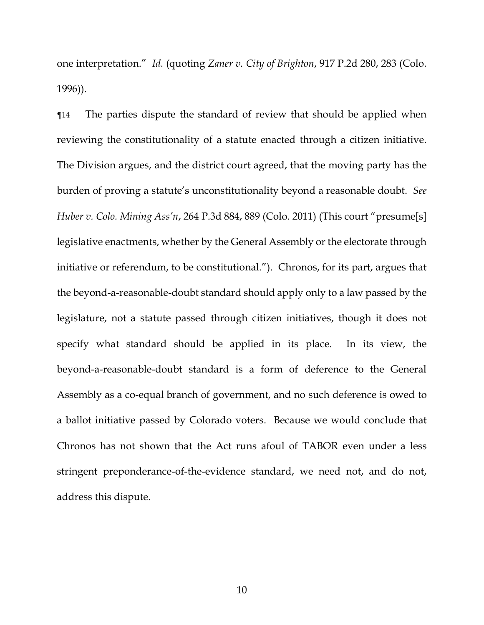one interpretation." *Id.* (quoting *Zaner v. City of Brighton*, 917 P.2d 280, 283 (Colo. 1996)).

¶14 The parties dispute the standard of review that should be applied when reviewing the constitutionality of a statute enacted through a citizen initiative. The Division argues, and the district court agreed, that the moving party has the burden of proving a statute's unconstitutionality beyond a reasonable doubt.*See Huber v. Colo. Mining Ass'n*, 264 P.3d 884, 889 (Colo. 2011) (This court "presume[s] legislative enactments, whether by the General Assembly or the electorate through initiative or referendum, to be constitutional."). Chronos, for its part, argues that the beyond-a-reasonable-doubt standard should apply only to a law passed by the legislature, not a statute passed through citizen initiatives, though it does not specify what standard should be applied in its place. In its view, the beyond-a-reasonable-doubt standard is a form of deference to the General Assembly as a co-equal branch of government, and no such deference is owed to a ballot initiative passed by Colorado voters. Because we would conclude that Chronos has not shown that the Act runs afoul of TABOR even under a less stringent preponderance-of-the-evidence standard, we need not, and do not, address this dispute.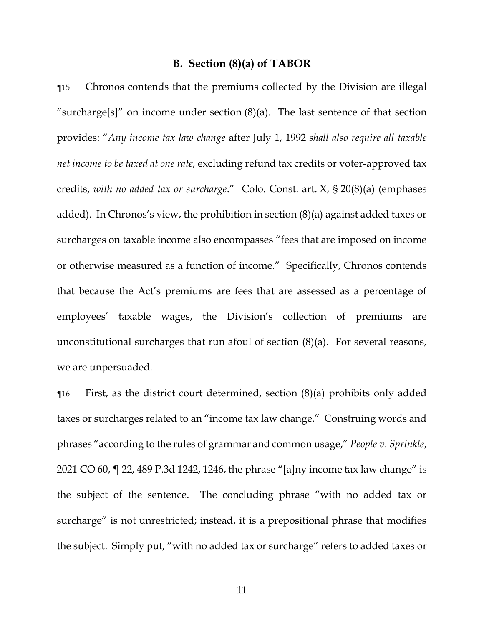#### **B. Section (8)(a) of TABOR**

¶15 Chronos contends that the premiums collected by the Division are illegal "surcharge[s]" on income under section  $(8)(a)$ . The last sentence of that section provides: "*Any income tax law change* after July 1, 1992 *shall also require all taxable net income to be taxed at one rate,* excluding refund tax credits or voter-approved tax credits, *with no added tax or surcharge*." Colo. Const. art. X, § 20(8)(a) (emphases added). In Chronos's view, the prohibition in section (8)(a) against added taxes or surcharges on taxable income also encompasses "fees that are imposed on income or otherwise measured as a function of income." Specifically, Chronos contends that because the Act's premiums are fees that are assessed as a percentage of employees' taxable wages, the Division's collection of premiums are unconstitutional surcharges that run afoul of section (8)(a). For several reasons, we are unpersuaded.

 $\gamma$  First, as the district court determined, section (8)(a) prohibits only added taxes or surcharges related to an "income tax law change." Construing words and phrases "according to the rules of grammar and common usage," *People v. Sprinkle*, 2021 CO 60, ¶ 22, 489 P.3d 1242, 1246, the phrase "[a]ny income tax law change" is the subject of the sentence. The concluding phrase "with no added tax or surcharge" is not unrestricted; instead, it is a prepositional phrase that modifies the subject. Simply put, "with no added tax or surcharge" refers to added taxes or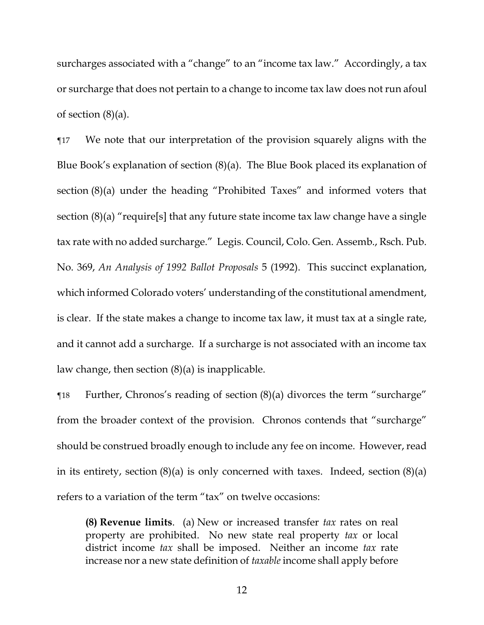surcharges associated with a "change" to an "income tax law." Accordingly, a tax or surcharge that does not pertain to a change to income tax law does not run afoul of section  $(8)(a)$ .

¶17 We note that our interpretation of the provision squarely aligns with the Blue Book's explanation of section (8)(a). The Blue Book placed its explanation of section (8)(a) under the heading "Prohibited Taxes" and informed voters that section (8)(a) "require[s] that any future state income tax law change have a single tax rate with no added surcharge." Legis. Council, Colo. Gen. Assemb., Rsch. Pub. No. 369, *An Analysis of 1992 Ballot Proposals* 5 (1992). This succinct explanation, which informed Colorado voters' understanding of the constitutional amendment, is clear. If the state makes a change to income tax law, it must tax at a single rate, and it cannot add a surcharge. If a surcharge is not associated with an income tax law change, then section  $(8)(a)$  is inapplicable.

¶18 Further, Chronos's reading of section (8)(a) divorces the term "surcharge" from the broader context of the provision. Chronos contends that "surcharge" should be construed broadly enough to include any fee on income. However, read in its entirety, section  $(8)(a)$  is only concerned with taxes. Indeed, section  $(8)(a)$ refers to a variation of the term "tax" on twelve occasions:

**(8) Revenue limits**. (a) New or increased transfer *tax* rates on real property are prohibited. No new state real property *tax* or local district income *tax* shall be imposed. Neither an income *tax* rate increase nor a new state definition of *taxable* income shall apply before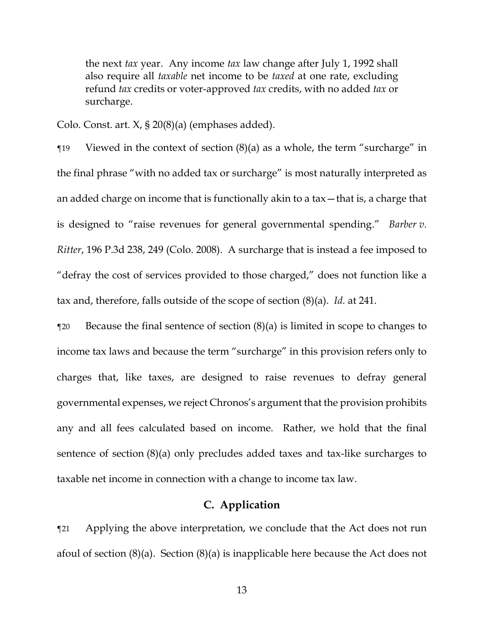the next *tax* year. Any income *tax* law change after July 1, 1992 shall also require all *taxable* net income to be *taxed* at one rate, excluding refund *tax* credits or voter-approved *tax* credits, with no added *tax* or surcharge.

Colo. Const. art. X, § 20(8)(a) (emphases added).

¶19 Viewed in the context of section (8)(a) as a whole, the term "surcharge" in the final phrase "with no added tax or surcharge" is most naturally interpreted as an added charge on income that is functionally akin to a tax—that is, a charge that is designed to "raise revenues for general governmental spending." *Barber v. Ritter*, 196 P.3d 238, 249 (Colo. 2008). A surcharge that is instead a fee imposed to "defray the cost of services provided to those charged," does not function like a tax and, therefore, falls outside of the scope of section (8)(a). *Id.* at 241.

 $\alpha$  Because the final sentence of section  $(8)(a)$  is limited in scope to changes to income tax laws and because the term "surcharge" in this provision refers only to charges that, like taxes, are designed to raise revenues to defray general governmental expenses, we reject Chronos's argument that the provision prohibits any and all fees calculated based on income. Rather, we hold that the final sentence of section (8)(a) only precludes added taxes and tax-like surcharges to taxable net income in connection with a change to income tax law.

## **C. Application**

¶21 Applying the above interpretation, we conclude that the Act does not run afoul of section (8)(a). Section (8)(a) is inapplicable here because the Act does not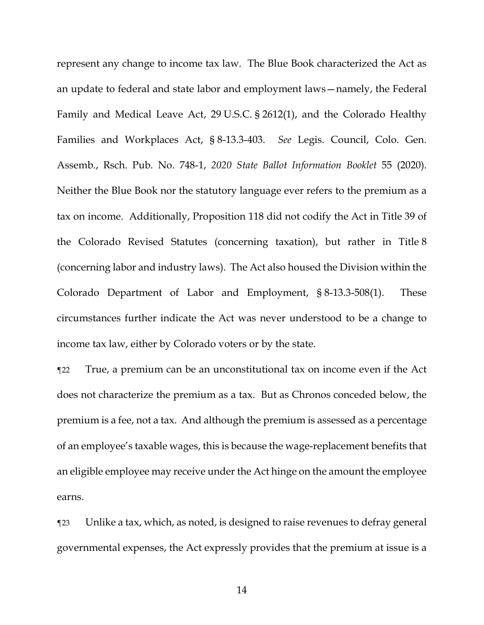represent any change to income tax law. The Blue Book characterized the Act as an update to federal and state labor and employment laws—namely, the Federal Family and Medical Leave Act, 29 U.S.C. § 2612(1), and the Colorado Healthy Families and Workplaces Act, § 8-13.3-403. *See* Legis. Council, Colo. Gen. Assemb., Rsch. Pub. No. 748-1, *2020 State Ballot Information Booklet* 55 (2020). Neither the Blue Book nor the statutory language ever refers to the premium as a tax on income. Additionally, Proposition 118 did not codify the Act in Title 39 of the Colorado Revised Statutes (concerning taxation), but rather in Title 8 (concerning labor and industry laws). The Act also housed the Division within the Colorado Department of Labor and Employment, § 8-13.3-508(1). These circumstances further indicate the Act was never understood to be a change to income tax law, either by Colorado voters or by the state.

¶22 True, a premium can be an unconstitutional tax on income even if the Act does not characterize the premium as a tax. But as Chronos conceded below, the premium is a fee, not a tax. And although the premium is assessed as a percentage of an employee's taxable wages, this is because the wage-replacement benefits that an eligible employee may receive under the Act hinge on the amount the employee earns.

¶23 Unlike a tax, which, as noted, is designed to raise revenues to defray general governmental expenses, the Act expressly provides that the premium at issue is a

14